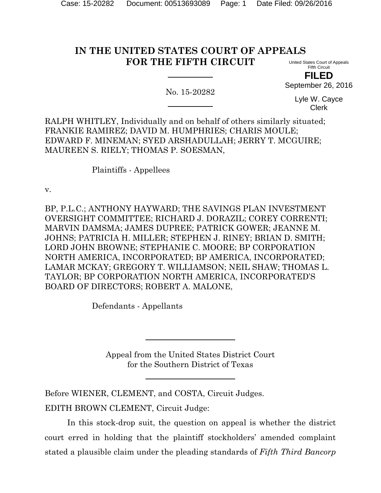# **IN THE UNITED STATES COURT OF APPEALS FOR THE FIFTH CIRCUIT**

No. 15-20282

United States Court of Appeals Fifth Circuit **FILED**

September 26, 2016

Lyle W. Cayce Clerk

RALPH WHITLEY, Individually and on behalf of others similarly situated; FRANKIE RAMIREZ; DAVID M. HUMPHRIES; CHARIS MOULE; EDWARD F. MINEMAN; SYED ARSHADULLAH; JERRY T. MCGUIRE; MAUREEN S. RIELY; THOMAS P. SOESMAN,

Plaintiffs - Appellees

v.

BP, P.L.C.; ANTHONY HAYWARD; THE SAVINGS PLAN INVESTMENT OVERSIGHT COMMITTEE; RICHARD J. DORAZIL; COREY CORRENTI; MARVIN DAMSMA; JAMES DUPREE; PATRICK GOWER; JEANNE M. JOHNS; PATRICIA H. MILLER; STEPHEN J. RINEY; BRIAN D. SMITH; LORD JOHN BROWNE; STEPHANIE C. MOORE; BP CORPORATION NORTH AMERICA, INCORPORATED; BP AMERICA, INCORPORATED; LAMAR MCKAY; GREGORY T. WILLIAMSON; NEIL SHAW; THOMAS L. TAYLOR; BP CORPORATION NORTH AMERICA, INCORPORATED'S BOARD OF DIRECTORS; ROBERT A. MALONE,

Defendants - Appellants

Appeal from the United States District Court for the Southern District of Texas

Before WIENER, CLEMENT, and COSTA, Circuit Judges. EDITH BROWN CLEMENT, Circuit Judge:

In this stock-drop suit, the question on appeal is whether the district court erred in holding that the plaintiff stockholders' amended complaint stated a plausible claim under the pleading standards of *Fifth Third Bancorp*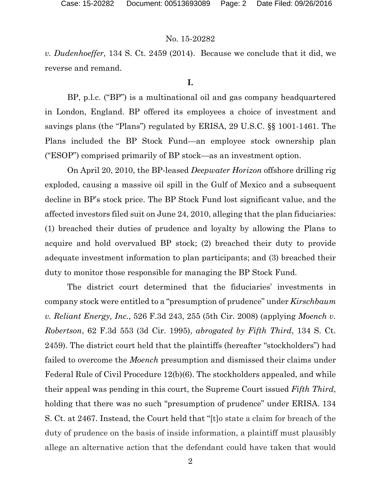*v. Dudenhoeffer,* 134 S. Ct. 2459 (2014). Because we conclude that it did, we reverse and remand.

#### **I.**

BP, p.l.c. ("BP") is a multinational oil and gas company headquartered in London, England. BP offered its employees a choice of investment and savings plans (the "Plans") regulated by ERISA, 29 U.S.C. §§ 1001-1461. The Plans included the BP Stock Fund—an employee stock ownership plan ("ESOP") comprised primarily of BP stock—as an investment option.

On April 20, 2010, the BP-leased *Deepwater Horizon* offshore drilling rig exploded, causing a massive oil spill in the Gulf of Mexico and a subsequent decline in BP's stock price. The BP Stock Fund lost significant value, and the affected investors filed suit on June 24, 2010, alleging that the plan fiduciaries: (1) breached their duties of prudence and loyalty by allowing the Plans to acquire and hold overvalued BP stock; (2) breached their duty to provide adequate investment information to plan participants; and (3) breached their duty to monitor those responsible for managing the BP Stock Fund.

The district court determined that the fiduciaries' investments in company stock were entitled to a "presumption of prudence" under *Kirschbaum v. Reliant Energy, Inc.*, 526 F.3d 243, 255 (5th Cir. 2008) (applying *Moench v. Robertson*, 62 F.3d 553 (3d Cir. 1995), *abrogated by Fifth Third*, 134 S. Ct. 2459). The district court held that the plaintiffs (hereafter "stockholders") had failed to overcome the *Moench* presumption and dismissed their claims under Federal Rule of Civil Procedure 12(b)(6). The stockholders appealed, and while their appeal was pending in this court, the Supreme Court issued *Fifth Third*, holding that there was no such "presumption of prudence" under ERISA. 134 S. Ct. at 2467. Instead, the Court held that "[t]o state a claim for breach of the duty of prudence on the basis of inside information, a plaintiff must plausibly allege an alternative action that the defendant could have taken that would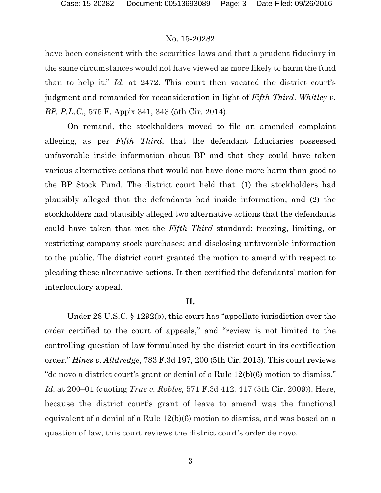have been consistent with the securities laws and that a prudent fiduciary in the same circumstances would not have viewed as more likely to harm the fund than to help it." *Id.* at 2472. This court then vacated the district court's judgment and remanded for reconsideration in light of *Fifth Third*. *Whitley v. BP, P.L.C.*, 575 F. App'x 341, 343 (5th Cir. 2014).

On remand, the stockholders moved to file an amended complaint alleging, as per *Fifth Third*, that the defendant fiduciaries possessed unfavorable inside information about BP and that they could have taken various alternative actions that would not have done more harm than good to the BP Stock Fund. The district court held that: (1) the stockholders had plausibly alleged that the defendants had inside information; and (2) the stockholders had plausibly alleged two alternative actions that the defendants could have taken that met the *Fifth Third* standard: freezing, limiting, or restricting company stock purchases; and disclosing unfavorable information to the public. The district court granted the motion to amend with respect to pleading these alternative actions. It then certified the defendants' motion for interlocutory appeal.

### **II.**

Under 28 U.S.C. § 1292(b), this court has "appellate jurisdiction over the order certified to the court of appeals," and "review is not limited to the controlling question of law formulated by the district court in its certification order." *Hines v. Alldredge*, 783 F.3d 197, 200 (5th Cir. 2015). This court reviews "de novo a district court's grant or denial of a Rule 12(b)(6) motion to dismiss." *Id.* at 200–01 (quoting *True v. Robles,* 571 F.3d 412, 417 (5th Cir. 2009)). Here, because the district court's grant of leave to amend was the functional equivalent of a denial of a Rule 12(b)(6) motion to dismiss, and was based on a question of law, this court reviews the district court's order de novo.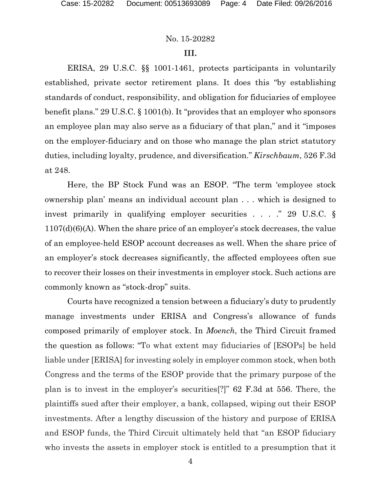### **III.**

ERISA, 29 U.S.C. §§ 1001-1461, protects participants in voluntarily established, private sector retirement plans. It does this "by establishing standards of conduct, responsibility, and obligation for fiduciaries of employee benefit plans." 29 U.S.C. § 1001(b). It "provides that an employer who sponsors an employee plan may also serve as a fiduciary of that plan," and it "imposes on the employer-fiduciary and on those who manage the plan strict statutory duties, including loyalty, prudence, and diversification." *Kirschbaum*, 526 F.3d at 248.

Here, the BP Stock Fund was an ESOP. "The term 'employee stock ownership plan' means an individual account plan . . . which is designed to invest primarily in qualifying employer securities . . . ." 29 U.S.C. § 1107(d)(6)(A). When the share price of an employer's stock decreases, the value of an employee-held ESOP account decreases as well. When the share price of an employer's stock decreases significantly, the affected employees often sue to recover their losses on their investments in employer stock. Such actions are commonly known as "stock-drop" suits.

Courts have recognized a tension between a fiduciary's duty to prudently manage investments under ERISA and Congress's allowance of funds composed primarily of employer stock. In *Moench*, the Third Circuit framed the question as follows: "To what extent may fiduciaries of [ESOPs] be held liable under [ERISA] for investing solely in employer common stock, when both Congress and the terms of the ESOP provide that the primary purpose of the plan is to invest in the employer's securities[?]" 62 F.3d at 556. There, the plaintiffs sued after their employer, a bank, collapsed, wiping out their ESOP investments. After a lengthy discussion of the history and purpose of ERISA and ESOP funds, the Third Circuit ultimately held that "an ESOP fiduciary who invests the assets in employer stock is entitled to a presumption that it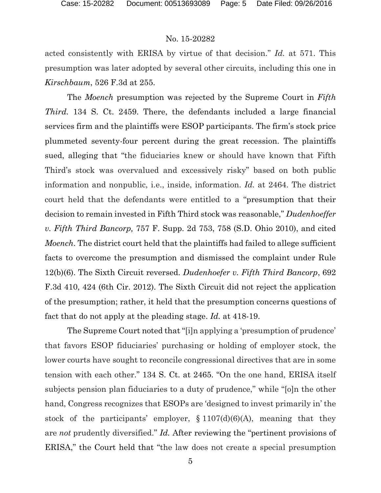acted consistently with ERISA by virtue of that decision." *Id.* at 571. This presumption was later adopted by several other circuits, including this one in *Kirschbaum*, 526 F.3d at 255.

The *Moench* presumption was rejected by the Supreme Court in *Fifth Third.* 134 S. Ct. 2459. There, the defendants included a large financial services firm and the plaintiffs were ESOP participants. The firm's stock price plummeted seventy-four percent during the great recession. The plaintiffs sued, alleging that "the fiduciaries knew or should have known that Fifth Third's stock was overvalued and excessively risky" based on both public information and nonpublic, i.e., inside, information. *Id.* at 2464. The district court held that the defendants were entitled to a "presumption that their decision to remain invested in Fifth Third stock was reasonable," *Dudenhoeffer v. Fifth Third Bancorp,* 757 F. Supp. 2d 753, 758 (S.D. Ohio 2010), and cited *Moench*. The district court held that the plaintiffs had failed to allege sufficient facts to overcome the presumption and dismissed the complaint under Rule 12(b)(6). The Sixth Circuit reversed. *Dudenhoefer v. Fifth Third Bancorp*, 692 F.3d 410, 424 (6th Cir. 2012). The Sixth Circuit did not reject the application of the presumption; rather, it held that the presumption concerns questions of fact that do not apply at the pleading stage. *Id.* at 418-19.

The Supreme Court noted that "[i]n applying a 'presumption of prudence' that favors ESOP fiduciaries' purchasing or holding of employer stock, the lower courts have sought to reconcile congressional directives that are in some tension with each other." 134 S. Ct. at 2465. "On the one hand, ERISA itself subjects pension plan fiduciaries to a duty of prudence," while "[o]n the other hand, Congress recognizes that ESOPs are 'designed to invest primarily in' the stock of the participants' employer,  $\S 1107(d)(6)(A)$ , meaning that they are *not* prudently diversified." *Id.* After reviewing the "pertinent provisions of ERISA," the Court held that "the law does not create a special presumption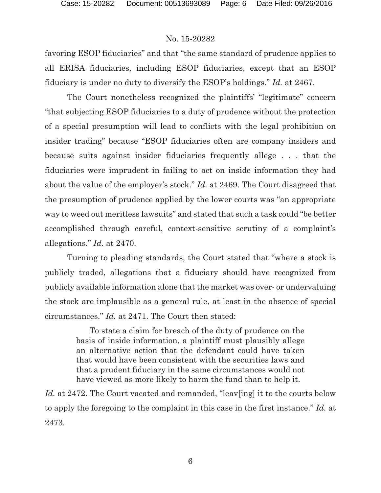favoring ESOP fiduciaries" and that "the same standard of prudence applies to all ERISA fiduciaries, including ESOP fiduciaries, except that an ESOP fiduciary is under no duty to diversify the ESOP's holdings." *Id.* at 2467.

The Court nonetheless recognized the plaintiffs' "legitimate" concern "that subjecting ESOP fiduciaries to a duty of prudence without the protection of a special presumption will lead to conflicts with the legal prohibition on insider trading" because "ESOP fiduciaries often are company insiders and because suits against insider fiduciaries frequently allege . . . that the fiduciaries were imprudent in failing to act on inside information they had about the value of the employer's stock." *Id.* at 2469. The Court disagreed that the presumption of prudence applied by the lower courts was "an appropriate way to weed out meritless lawsuits" and stated that such a task could "be better accomplished through careful, context-sensitive scrutiny of a complaint's allegations." *Id.* at 2470.

Turning to pleading standards, the Court stated that "where a stock is publicly traded, allegations that a fiduciary should have recognized from publicly available information alone that the market was over- or undervaluing the stock are implausible as a general rule, at least in the absence of special circumstances." *Id.* at 2471. The Court then stated:

> To state a claim for breach of the duty of prudence on the basis of inside information, a plaintiff must plausibly allege an alternative action that the defendant could have taken that would have been consistent with the securities laws and that a prudent fiduciary in the same circumstances would not have viewed as more likely to harm the fund than to help it.

Id. at 2472. The Court vacated and remanded, "leav[ing] it to the courts below to apply the foregoing to the complaint in this case in the first instance." *Id.* at 2473.

6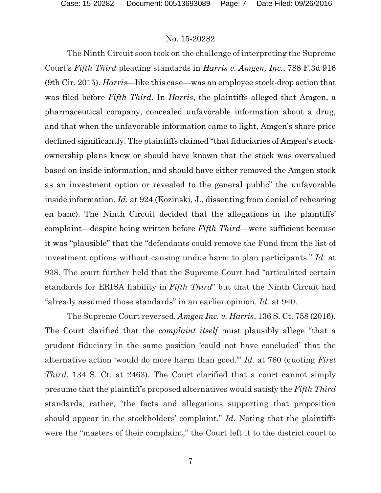The Ninth Circuit soon took on the challenge of interpreting the Supreme Court's *Fifth Third* pleading standards in *Harris v. Amgen, Inc.*, 788 F.3d 916 (9th Cir. 2015). *Harris*—like this case—was an employee stock-drop action that was filed before *Fifth Third*. In *Harris*, the plaintiffs alleged that Amgen, a pharmaceutical company, concealed unfavorable information about a drug, and that when the unfavorable information came to light, Amgen's share price declined significantly. The plaintiffs claimed "that fiduciaries of Amgen's stockownership plans knew or should have known that the stock was overvalued based on inside information, and should have either removed the Amgen stock as an investment option or revealed to the general public" the unfavorable inside information. *Id.* at 924 (Kozinski, J., dissenting from denial of rehearing en banc). The Ninth Circuit decided that the allegations in the plaintiffs' complaint—despite being written before *Fifth Third*—were sufficient because it was "plausible" that the "defendants could remove the Fund from the list of investment options without causing undue harm to plan participants." *Id.* at 938. The court further held that the Supreme Court had "articulated certain standards for ERISA liability in *Fifth Third*" but that the Ninth Circuit had "already assumed those standards" in an earlier opinion. *Id.* at 940.

The Supreme Court reversed. *Amgen Inc. v. Harris*, 136 S. Ct. 758 (2016). The Court clarified that the *complaint itself* must plausibly allege "that a prudent fiduciary in the same position 'could not have concluded' that the alternative action 'would do more harm than good.'" *Id.* at 760 (quoting *First Third*, 134 S. Ct. at 2463). The Court clarified that a court cannot simply presume that the plaintiff's proposed alternatives would satisfy the *Fifth Third* standards; rather, "the facts and allegations supporting that proposition should appear in the stockholders' complaint." *Id.* Noting that the plaintiffs were the "masters of their complaint," the Court left it to the district court to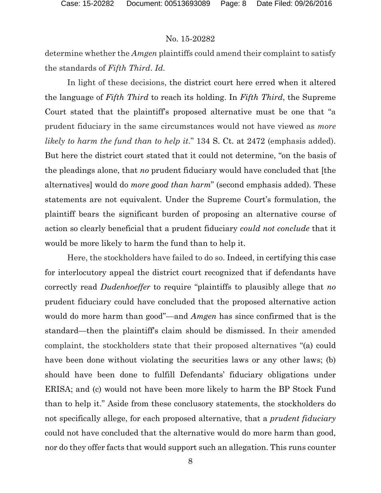determine whether the *Amgen* plaintiffs could amend their complaint to satisfy the standards of *Fifth Third*. *Id.*

In light of these decisions, the district court here erred when it altered the language of *Fifth Third* to reach its holding. In *Fifth Third*, the Supreme Court stated that the plaintiff's proposed alternative must be one that "a prudent fiduciary in the same circumstances would not have viewed as *more likely to harm the fund than to help it*." 134 S. Ct. at 2472 (emphasis added). But here the district court stated that it could not determine, "on the basis of the pleadings alone, that *no* prudent fiduciary would have concluded that [the alternatives] would do *more good than harm*" (second emphasis added). These statements are not equivalent. Under the Supreme Court's formulation, the plaintiff bears the significant burden of proposing an alternative course of action so clearly beneficial that a prudent fiduciary *could not conclude* that it would be more likely to harm the fund than to help it.

Here, the stockholders have failed to do so. Indeed, in certifying this case for interlocutory appeal the district court recognized that if defendants have correctly read *Dudenhoeffer* to require "plaintiffs to plausibly allege that *no* prudent fiduciary could have concluded that the proposed alternative action would do more harm than good"—and *Amgen* has since confirmed that is the standard—then the plaintiff's claim should be dismissed. In their amended complaint, the stockholders state that their proposed alternatives "(a) could have been done without violating the securities laws or any other laws; (b) should have been done to fulfill Defendants' fiduciary obligations under ERISA; and (c) would not have been more likely to harm the BP Stock Fund than to help it." Aside from these conclusory statements, the stockholders do not specifically allege, for each proposed alternative, that a *prudent fiduciary* could not have concluded that the alternative would do more harm than good, nor do they offer facts that would support such an allegation. This runs counter